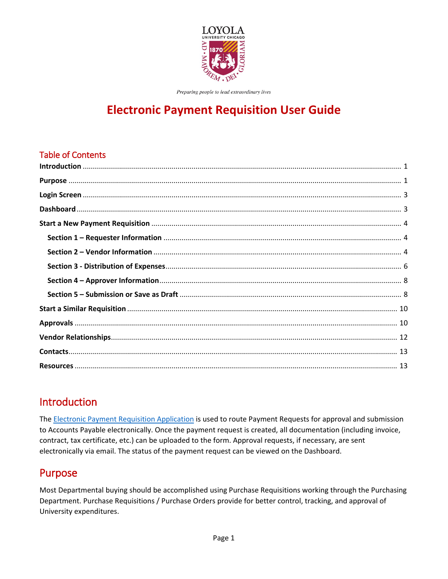

Preparing people to lead extraordinary lives

# **Electronic Payment Requisition User Guide**

### Table of Contents

## <span id="page-0-0"></span>Introduction

The [Electronic Payment Requisition Application](https://forms.luc.edu/checkreq/) is used to route Payment Requests for approval and submission to Accounts Payable electronically. Once the payment request is created, all documentation (including invoice, contract, tax certificate, etc.) can be uploaded to the form. Approval requests, if necessary, are sent electronically via email. The status of the payment request can be viewed on the Dashboard.

### <span id="page-0-1"></span>Purpose

Most Departmental buying should be accomplished using Purchase Requisitions working through the Purchasing Department. Purchase Requisitions / Purchase Orders provide for better control, tracking, and approval of University expenditures.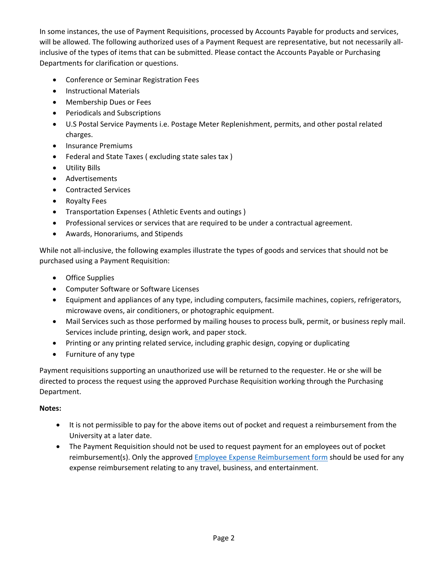In some instances, the use of Payment Requisitions, processed by Accounts Payable for products and services, will be allowed. The following authorized uses of a Payment Request are representative, but not necessarily allinclusive of the types of items that can be submitted. Please contact the Accounts Payable or Purchasing Departments for clarification or questions.

- Conference or Seminar Registration Fees
- Instructional Materials
- Membership Dues or Fees
- Periodicals and Subscriptions
- U.S Postal Service Payments i.e. Postage Meter Replenishment, permits, and other postal related charges.
- Insurance Premiums
- Federal and State Taxes ( excluding state sales tax )
- Utility Bills
- Advertisements
- Contracted Services
- Royalty Fees
- Transportation Expenses ( Athletic Events and outings )
- Professional services or services that are required to be under a contractual agreement.
- Awards, Honorariums, and Stipends

While not all-inclusive, the following examples illustrate the types of goods and services that should not be purchased using a Payment Requisition:

- Office Supplies
- Computer Software or Software Licenses
- Equipment and appliances of any type, including computers, facsimile machines, copiers, refrigerators, microwave ovens, air conditioners, or photographic equipment.
- Mail Services such as those performed by mailing houses to process bulk, permit, or business reply mail. Services include printing, design work, and paper stock.
- Printing or any printing related service, including graphic design, copying or duplicating
- Furniture of any type

Payment requisitions supporting an unauthorized use will be returned to the requester. He or she will be directed to process the request using the approved Purchase Requisition working through the Purchasing Department.

### **Notes:**

- It is not permissible to pay for the above items out of pocket and request a reimbursement from the University at a later date.
- The Payment Requisition should not be used to request payment for an employees out of pocket reimbursement(s). Only the approved [Employee Expense Reimbursement form](https://www.luc.edu/media/lucedu/secure/finance/expreimb.pdf) should be used for any expense reimbursement relating to any travel, business, and entertainment.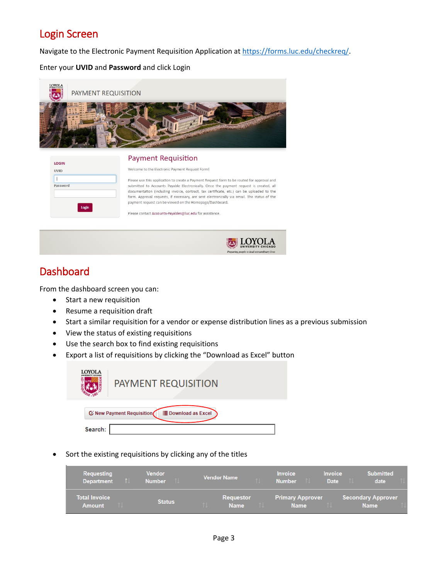## <span id="page-2-0"></span>Login Screen

Navigate to the Electronic Payment Requisition Application at [https://forms.luc.edu/checkreq/.](https://forms.luc.edu/checkreq/)

Enter your **UVID** and **Password** and click Login



#### **Payment Requisition**

Welcome to the Electronic Payment Request Form!

| <b>UVID</b> |       |  |
|-------------|-------|--|
|             |       |  |
| Password    |       |  |
|             |       |  |
|             |       |  |
|             | Login |  |
|             |       |  |

| Please use this application to create a Payment Request form to be routed for approval and  |
|---------------------------------------------------------------------------------------------|
| submitted to Accounts Payable Electronically. Once the payment request is created, all      |
| documentation (including invoice, contract, tax certificate, etc.) can be uploaded to the   |
| form. Approval requests, if necessary, are sent electronically via email. The status of the |
| payment request can be viewed on the Homepage/Dashboard.                                    |

Please contact Accounts-Payables@luc.edu for assistance.



## <span id="page-2-1"></span>**Dashboard**

LOGIN

From the dashboard screen you can:

- Start a new requisition
- Resume a requisition draft
- Start a similar requisition for a vendor or expense distribution lines as a previous submission
- View the status of existing requisitions

- Use the search box to find existing requisitions
- Export a list of requisitions by clicking the "Download as Excel" button

| <b>LOVOL A</b> | <b>PAYMENT REQUISITION</b>                              |
|----------------|---------------------------------------------------------|
|                | <b>E</b> Download as Excel<br>C New Payment Requisition |
| Search:        |                                                         |

Sort the existing requisitions by clicking any of the titles

| Requesting<br><b>Department</b>       | <b>Vendor</b><br><b>Number</b> | <b>Vendor Name</b>                                  | îI. | <b>Invoice</b><br><b>Number</b>        | <b>Invoice</b><br><b>Date</b> | <b>Submitted</b><br>date                 |  |
|---------------------------------------|--------------------------------|-----------------------------------------------------|-----|----------------------------------------|-------------------------------|------------------------------------------|--|
| <b>Total Invoice</b><br><b>Amount</b> | <b>Status</b>                  | Requestor<br>$^{\uparrow\downarrow}$<br><b>Name</b> |     | <b>Primary Approver</b><br><b>Name</b> |                               | <b>Secondary Approver</b><br><b>Name</b> |  |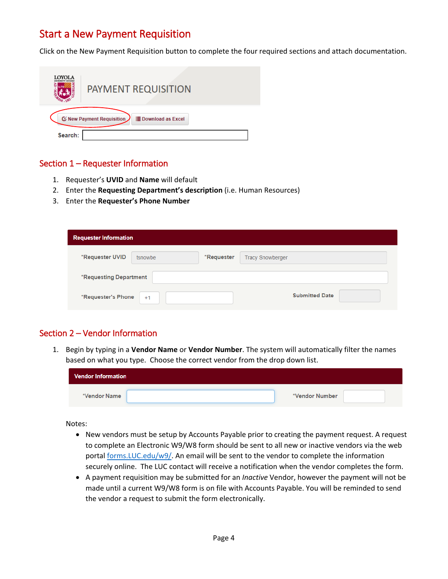### <span id="page-3-0"></span>Start a New Payment Requisition

Click on the New Payment Requisition button to complete the four required sections and attach documentation.

| LOVOL A | <b>PAYMENT REQUISITION</b>                                     |
|---------|----------------------------------------------------------------|
| Search: | <b>☑ New Payment Requisition</b><br><b>E</b> Download as Excel |

### <span id="page-3-1"></span>Section 1 – Requester Information

- 1. Requester's **UVID** and **Name** will default
- 2. Enter the **Requesting Department's description** (i.e. Human Resources)
- 3. Enter the **Requester's Phone Number**

| <b>Requester Information</b> |         |            |                         |
|------------------------------|---------|------------|-------------------------|
| *Requester UVID              | tsnowbe | *Requester | <b>Tracy Snowberger</b> |
| *Requesting Department       |         |            |                         |
| *Requester's Phone           | $+1$    |            | <b>Submitted Date</b>   |

### <span id="page-3-2"></span>Section 2 – Vendor Information

1. Begin by typing in a **Vendor Name** or **Vendor Number**. The system will automatically filter the names based on what you type. Choose the correct vendor from the drop down list.

| <b>Vendor Information</b> |                |  |
|---------------------------|----------------|--|
| *Vendor Name              | *Vendor Number |  |

Notes:

- New vendors must be setup by Accounts Payable prior to creating the payment request. A request to complete an Electronic W9/W8 form should be sent to all new or inactive vendors via the web portal forms.LUC.edu/w9/. An email will be sent to the vendor to complete the information securely online. The LUC contact will receive a notification when the vendor completes the form.
- A payment requisition may be submitted for an *Inactive* Vendor, however the payment will not be made until a current W9/W8 form is on file with Accounts Payable. You will be reminded to send the vendor a request to submit the form electronically.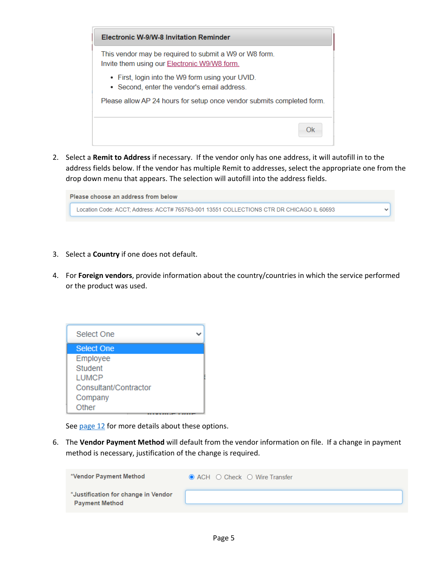| <b>Electronic W-9/W-8 Invitation Reminder</b>                                                          |
|--------------------------------------------------------------------------------------------------------|
| This vendor may be required to submit a W9 or W8 form.<br>Invite them using our Electronic W9/W8 form. |
| • First, login into the W9 form using your UVID.<br>• Second, enter the vendor's email address.        |
| Please allow AP 24 hours for setup once vendor submits completed form.                                 |
| Ok                                                                                                     |

2. Select a **Remit to Address** if necessary. If the vendor only has one address, it will autofill in to the address fields below. If the vendor has multiple Remit to addresses, select the appropriate one from the drop down menu that appears. The selection will autofill into the address fields.

| Please choose an address from below                                                      |  |
|------------------------------------------------------------------------------------------|--|
| Location Code: ACCT; Address: ACCT# 765763-001 13551 COLLECTIONS CTR DR CHICAGO IL 60693 |  |
|                                                                                          |  |

- 3. Select a **Country** if one does not default.
- 4. For **Foreign vendors**, provide information about the country/countries in which the service performed or the product was used.

| Select One            |  |
|-----------------------|--|
| Select One            |  |
| Employee              |  |
| Student               |  |
| LUMCP                 |  |
| Consultant/Contractor |  |
| Company               |  |
| Other                 |  |

See [page 12](#page-11-0) for more details about these options.

6. The **Vendor Payment Method** will default from the vendor information on file. If a change in payment method is necessary, justification of the change is required.

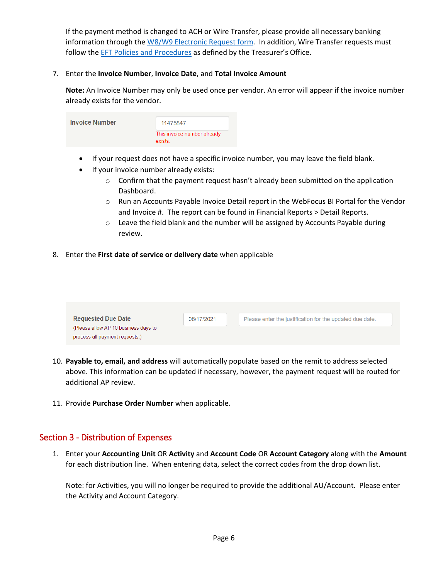If the payment method is changed to ACH or Wire Transfer, please provide all necessary banking information through the [W8/W9 Electronic Request form.](https://forms.luc.edu/w9/) In addition, Wire Transfer requests must follow the **EFT Policies [and Procedures](https://www.luc.edu/finance/eftpolicy/index.shtml)** as defined by the Treasurer's Office.

#### 7. Enter the **Invoice Number**, **Invoice Date**, and **Total Invoice Amount**

**Note:** An Invoice Number may only be used once per vendor. An error will appear if the invoice number already exists for the vendor.

| <b>Invoice Number</b> | 11475847                              |
|-----------------------|---------------------------------------|
|                       | This invoice number already<br>exists |

- If your request does not have a specific invoice number, you may leave the field blank.
- If your invoice number already exists:
	- $\circ$  Confirm that the payment request hasn't already been submitted on the application Dashboard.
	- o Run an Accounts Payable Invoice Detail report in the WebFocus BI Portal for the Vendor and Invoice #. The report can be found in Financial Reports > Detail Reports.
	- $\circ$  Leave the field blank and the number will be assigned by Accounts Payable during review.
- 8. Enter the **First date of service or delivery date** when applicable

| <b>Requested Due Date</b>            | 06/17/2021 | Please enter the justification for the updated due date. |
|--------------------------------------|------------|----------------------------------------------------------|
| (Please allow AP 10 business days to |            |                                                          |
| process all payment requests.)       |            |                                                          |

- 10. **Payable to, email, and address** will automatically populate based on the remit to address selected above. This information can be updated if necessary, however, the payment request will be routed for additional AP review.
- 11. Provide **Purchase Order Number** when applicable.

### <span id="page-5-0"></span>Section 3 - Distribution of Expenses

1. Enter your **Accounting Unit** OR **Activity** and **Account Code** OR **Account Category** along with the **Amount** for each distribution line. When entering data, select the correct codes from the drop down list.

Note: for Activities, you will no longer be required to provide the additional AU/Account. Please enter the Activity and Account Category.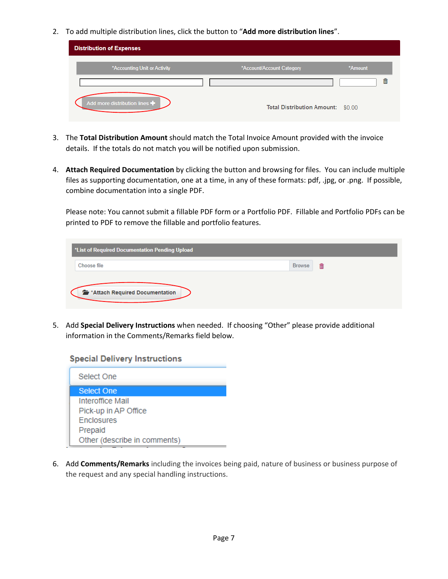2. To add multiple distribution lines, click the button to "**Add more distribution lines**".

| <b>Distribution of Expenses</b> |                                          |         |
|---------------------------------|------------------------------------------|---------|
| *Accounting Unit or Activity    | *Account/Account Category                | *Amount |
|                                 |                                          | 侖       |
| Add more distribution lines     | <b>Total Distribution Amount: \$0.00</b> |         |

- 3. The **Total Distribution Amount** should match the Total Invoice Amount provided with the invoice details. If the totals do not match you will be notified upon submission.
- 4. **Attach Required Documentation** by clicking the button and browsing for files.You can include multiple files as supporting documentation, one at a time, in any of these formats: pdf, .jpg, or .png. If possible, combine documentation into a single PDF.

Please note: You cannot submit a fillable PDF form or a Portfolio PDF. Fillable and Portfolio PDFs can be printed to PDF to remove the fillable and portfolio features.

| <sup>2</sup> *List of Required Documentation Pending Upload |                    |  |
|-------------------------------------------------------------|--------------------|--|
| Choose file                                                 | <b>Browse</b><br>而 |  |
| *Attach Required Documentation                              |                    |  |

5. Add **Special Delivery Instructions** when needed. If choosing "Other" please provide additional information in the Comments/Remarks field below.

#### **Special Delivery Instructions**

| Select One                   |
|------------------------------|
| Select One                   |
| Interoffice Mail             |
| Pick-up in AP Office         |
| <b>Enclosures</b>            |
| Prepaid                      |
| Other (describe in comments) |

6. Add **Comments/Remarks** including the invoices being paid, nature of business or business purpose of the request and any special handling instructions.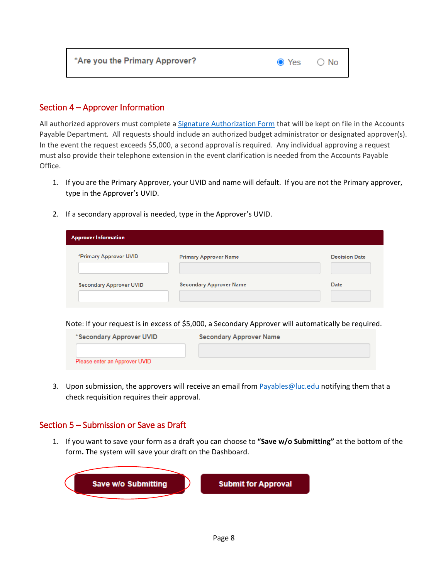| *Are you the Primary Approver?<br>$\bullet$ Yes<br>$\circ$ No |
|---------------------------------------------------------------|
|---------------------------------------------------------------|

### <span id="page-7-0"></span>Section 4 – Approver Information

All authorized approvers must complete [a Signature Authorization Form](https://www.luc.edu/media/lucedu/finance/pdfs/signature_card.pdf) that will be kept on file in the Accounts Payable Department. All requests should include an authorized budget administrator or designated approver(s). In the event the request exceeds \$5,000, a second approval is required. Any individual approving a request must also provide their telephone extension in the event clarification is needed from the Accounts Payable Office.

- 1. If you are the Primary Approver, your UVID and name will default. If you are not the Primary approver, type in the Approver's UVID.
- 2. If a secondary approval is needed, type in the Approver's UVID.

| <b>Approver Information</b>    |                                |                      |  |  |  |  |  |  |  |  |
|--------------------------------|--------------------------------|----------------------|--|--|--|--|--|--|--|--|
| *Primary Approver UVID         | <b>Primary Approver Name</b>   | <b>Decision Date</b> |  |  |  |  |  |  |  |  |
| <b>Secondary Approver UVID</b> | <b>Secondary Approver Name</b> | <b>Date</b>          |  |  |  |  |  |  |  |  |

Note: If your request is in excess of \$5,000, a Secondary Approver will automatically be required.

| *Secondary Approver UVID      | <b>Secondary Approver Name</b> |
|-------------------------------|--------------------------------|
|                               |                                |
| Please enter an Approver UVID |                                |

3. Upon submission, the approvers will receive an email fro[m Payables@luc.edu](mailto:Payables@luc.edu) notifying them that a check requisition requires their approval.

### <span id="page-7-1"></span>Section 5 – Submission or Save as Draft

1. If you want to save your form as a draft you can choose to **"Save w/o Submitting"** at the bottom of the form**.** The system will save your draft on the Dashboard.

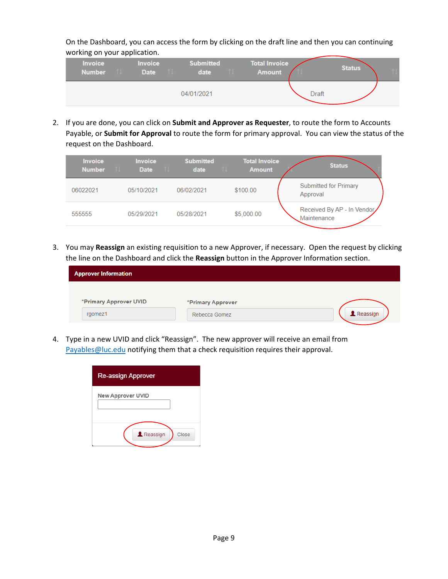On the Dashboard, you can access the form by clicking on the draft line and then you can continuing working on your application.

| $\mathbf{0}$ . The state $\mathbf{0}$<br><b>Invoice</b><br><b>Number</b> | nu. | <b>Invoice</b><br>Date A | - fl | <b>Submitted</b><br>date | -nu | <b>Total Invoice</b><br><b>Amount</b> |       | <b>Status</b> |  |
|--------------------------------------------------------------------------|-----|--------------------------|------|--------------------------|-----|---------------------------------------|-------|---------------|--|
|                                                                          |     |                          |      | 04/01/2021               |     |                                       | Draft |               |  |

2. If you are done, you can click on **Submit and Approver as Requester**, to route the form to Accounts Payable, or **Submit for Approval** to route the form for primary approval. You can view the status of the request on the Dashboard.

| <b>Invoice</b><br><b>Number</b> | n Li | <b>Invoice</b><br><b>Date</b> | $\mathbf{1}$ | <b>Submitted</b><br>date | $\mathbf{1}$ | <b>Total Invoice</b><br><b>Amount</b> | <b>Status</b>                             |
|---------------------------------|------|-------------------------------|--------------|--------------------------|--------------|---------------------------------------|-------------------------------------------|
| 06022021                        |      | 05/10/2021                    |              | 06/02/2021               |              | \$100.00                              | <b>Submitted for Primary</b><br>Approval  |
| 555555                          |      | 05/29/2021                    |              | 05/28/2021               |              | \$5,000.00                            | Received By AP - In Vendor<br>Maintenance |

3. You may **Reassign** an existing requisition to a new Approver, if necessary. Open the request by clicking the line on the Dashboard and click the **Reassign** button in the Approver Information section.

| <b>Approver Information</b> |                   |                 |  |  |  |  |  |  |  |
|-----------------------------|-------------------|-----------------|--|--|--|--|--|--|--|
| *Primary Approver UVID      | *Primary Approver |                 |  |  |  |  |  |  |  |
| rgomez1                     | Rebecca Gomez     | <b>Reassign</b> |  |  |  |  |  |  |  |
|                             |                   |                 |  |  |  |  |  |  |  |

4. Type in a new UVID and click "Reassign". The new approver will receive an email from [Payables@luc.edu](mailto:Payables@luc.edu) notifying them that a check requisition requires their approval.

| <b>Re-assign Approver</b> |
|---------------------------|
| New Approver UVID         |
| Reassign<br>Close         |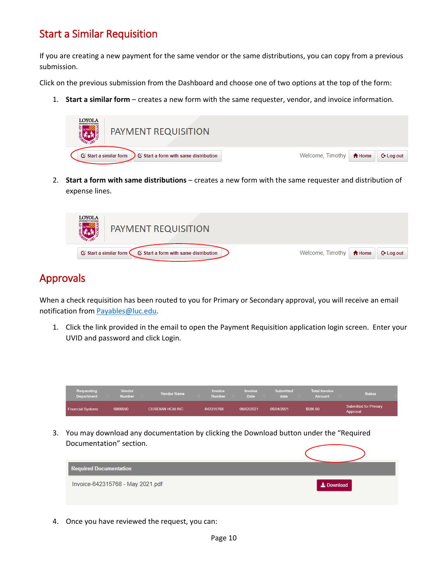### <span id="page-9-0"></span>Start a Similar Requisition

If you are creating a new payment for the same vendor or the same distributions, you can copy from a previous submission.

Click on the previous submission from the Dashboard and choose one of two options at the top of the form:

1. **Start a similar form** – creates a new form with the same requester, vendor, and invoice information.



2. **Start a form with same distributions** – creates a new form with the same requester and distribution of expense lines.



### <span id="page-9-1"></span>Approvals

When a check requisition has been routed to you for Primary or Secondary approval, you will receive an email notification from [Payables@luc.edu.](mailto:Payables@luc.edu)

1. Click the link provided in the email to open the Payment Requisition application login screen. Enter your UVID and password and click Login.

| <b>Vendor Name</b><br><b>Status</b><br><b>TIL</b><br><b>Department</b><br><b>Number</b><br><b>Number</b><br>Date<br>date<br>Amount | <b>Financial Systems</b> | 6066990       | <b>CERIDIAN HCM INC</b> | 642315768      | 06/02/2021 | 06/04/2021       | \$686.50             | <b>Submitted for Primary</b><br>Approval |  |
|------------------------------------------------------------------------------------------------------------------------------------|--------------------------|---------------|-------------------------|----------------|------------|------------------|----------------------|------------------------------------------|--|
|                                                                                                                                    | Requesting               | <b>Vendor</b> |                         | <b>Invoice</b> | Invoice    | <b>Submitted</b> | <b>Total Invoice</b> |                                          |  |

3. You may download any documentation by clicking the Download button under the "Required Documentation" section.



4. Once you have reviewed the request, you can: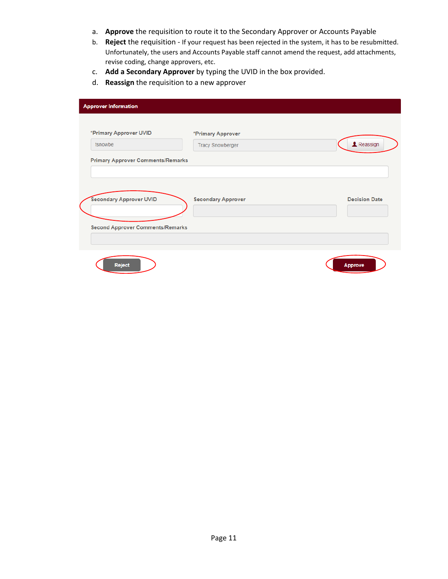- a. **Approve** the requisition to route it to the Secondary Approver or Accounts Payable
- b. **Reject** the requisition If your request has been rejected in the system, it has to be resubmitted. Unfortunately, the users and Accounts Payable staff cannot amend the request, add attachments, revise coding, change approvers, etc.
- c. **Add a Secondary Approver** by typing the UVID in the box provided.
- d. **Reassign** the requisition to a new approver

| <b>Approver Information</b>                                                   |                                              |                      |
|-------------------------------------------------------------------------------|----------------------------------------------|----------------------|
| *Primary Approver UVID<br>tsnowbe<br><b>Primary Approver Comments/Remarks</b> | *Primary Approver<br><b>Tracy Snowberger</b> | <b>Reassign</b>      |
| <b>Secondary Approver UVID</b><br><b>Second Approver Comments/Remarks</b>     | <b>Secondary Approver</b>                    | <b>Decision Date</b> |
| <b>Reject</b>                                                                 |                                              | <b>Approve</b>       |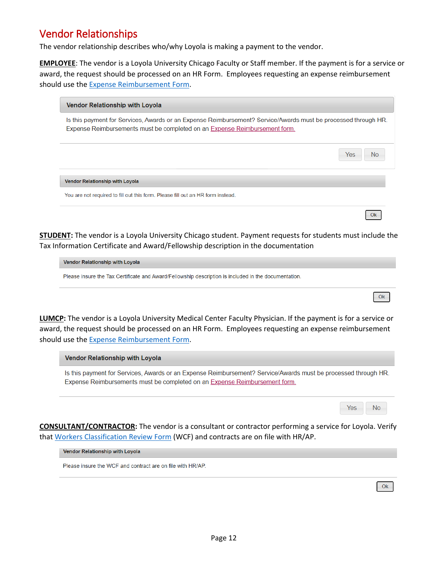### <span id="page-11-0"></span>Vendor Relationships

The vendor relationship describes who/why Loyola is making a payment to the vendor.

**EMPLOYEE**: The vendor is a Loyola University Chicago Faculty or Staff member. If the payment is for a service or award, the request should be processed on an HR Form. Employees requesting an expense reimbursement should use the [Expense Reimbursement Form.](https://www.luc.edu/media/lucedu/secure/finance/expreimb.pdf)

| Is this payment for Services, Awards or an Expense Reimbursement? Service/Awards must be processed through HR.<br>Expense Reimbursements must be completed on an Expense Reimbursement form. |           |  |
|----------------------------------------------------------------------------------------------------------------------------------------------------------------------------------------------|-----------|--|
|                                                                                                                                                                                              | Yes<br>No |  |
| Vendor Relationship with Loyola                                                                                                                                                              |           |  |
| You are not required to fill out this form. Please fill out an HR form instead.                                                                                                              |           |  |

**STUDENT:** The vendor is a Loyola University Chicago student. Payment requests for students must include the Tax Information Certificate and Award/Fellowship description in the documentation

Vendor Relationship with Loyola

Please insure the Tax Certificate and Award/Fellowship description is included in the documentation.

**LUMCP:** The vendor is a Loyola University Medical Center Faculty Physician. If the payment is for a service or award, the request should be processed on an HR Form. Employees requesting an expense reimbursement should use the [Expense Reimbursement Form.](https://www.luc.edu/media/lucedu/secure/finance/expreimb.pdf)

#### Vendor Relationship with Loyola

Is this payment for Services, Awards or an Expense Reimbursement? Service/Awards must be processed through HR. Expense Reimbursements must be completed on an Expense Reimbursement form.

 $O<sub>k</sub>$ 

Yes

**No** 

Ok

**CONSULTANT/CONTRACTOR:** The vendor is a consultant or contractor performing a service for Loyola. Verify that [Workers Classification Review Form](https://www.luc.edu/media/lucedu/finance/documents/Workers_Classification_Review_Form.docx) (WCF) and contracts are on file with HR/AP.

Vendor Relationship with Loyola

Please insure the WCF and contract are on file with HR/AP.